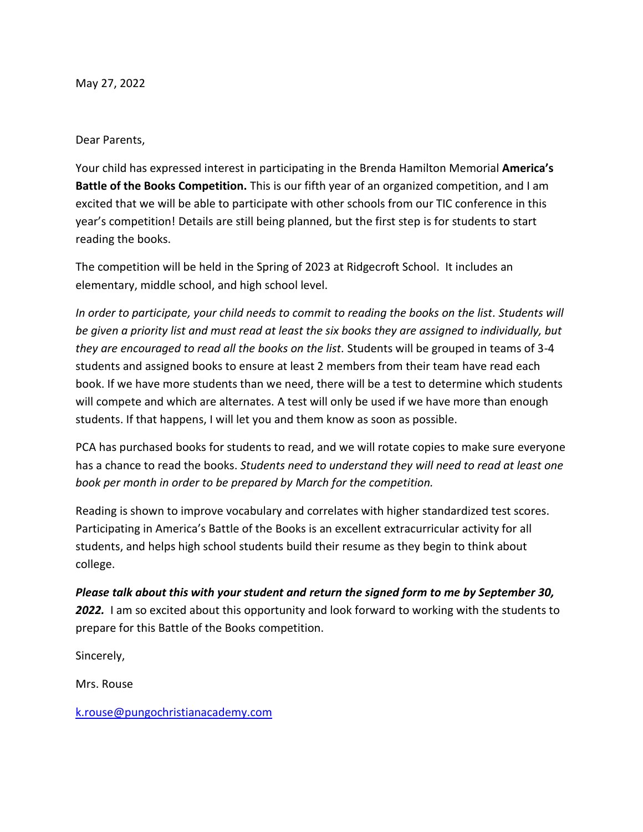May 27, 2022

## Dear Parents,

Your child has expressed interest in participating in the Brenda Hamilton Memorial **America's Battle of the Books Competition.** This is our fifth year of an organized competition, and I am excited that we will be able to participate with other schools from our TIC conference in this year's competition! Details are still being planned, but the first step is for students to start reading the books.

The competition will be held in the Spring of 2023 at Ridgecroft School. It includes an elementary, middle school, and high school level.

*In order to participate, your child needs to commit to reading the books on the list. Students will be given a priority list and must read at least the six books they are assigned to individually, but they are encouraged to read all the books on the list.* Students will be grouped in teams of 3-4 students and assigned books to ensure at least 2 members from their team have read each book. If we have more students than we need, there will be a test to determine which students will compete and which are alternates. A test will only be used if we have more than enough students. If that happens, I will let you and them know as soon as possible.

PCA has purchased books for students to read, and we will rotate copies to make sure everyone has a chance to read the books. *Students need to understand they will need to read at least one book per month in order to be prepared by March for the competition.*

Reading is shown to improve vocabulary and correlates with higher standardized test scores. Participating in America's Battle of the Books is an excellent extracurricular activity for all students, and helps high school students build their resume as they begin to think about college.

*Please talk about this with your student and return the signed form to me by September 30,*  **2022.** I am so excited about this opportunity and look forward to working with the students to prepare for this Battle of the Books competition.

Sincerely,

Mrs. Rouse

[k.rouse@pungochristianacademy.com](mailto:k.rouse@pungochristianacademy.com)